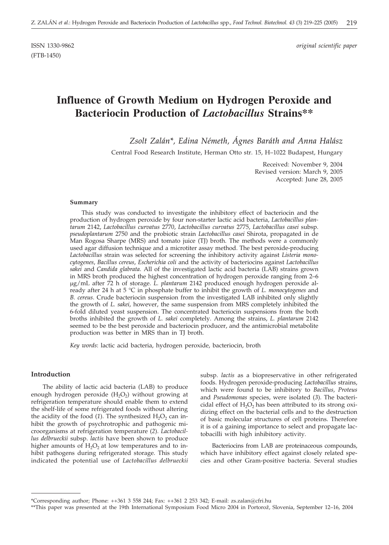ISSN 1330-9862 *original scientific paper*

# **Influence of Growth Medium on Hydrogen Peroxide and Bacteriocin Production of** *Lactobacillus* **Strains\*\***

*Zsolt Zalán\*, Edina Németh, Ágnes Baráth and Anna Halász*

Central Food Research Institute, Herman Otto str. 15, H–1022 Budapest, Hungary

Received: November 9, 2004 Revised version: March 9, 2005 Accepted: June 28, 2005

#### **Summary**

This study was conducted to investigate the inhibitory effect of bacteriocin and the production of hydrogen peroxide by four non-starter lactic acid bacteria, *Lactobacillus plantarum* 2142, *Lactobacillus curvatus* 2770, *Lactobacillus curvatus* 2775, *Lactobacillus casei* subsp. *pseudoplantarum* 2750 and the probiotic strain *Lactobacillus casei* Shirota, propagated in de Man Rogosa Sharpe (MRS) and tomato juice (TJ) broth. The methods were a commonly used agar diffusion technique and a microtiter assay method. The best peroxide-producing *Lactobacillus* strain was selected for screening the inhibitory activity against *Listeria monocytogenes*, *Bacillus cereus*, *Escherichia coli* and the activity of bacteriocins against *Lactobacillus sakei* and *Candida glabrata*. All of the investigated lactic acid bacteria (LAB) strains grown in MRS broth produced the highest concentration of hydrogen peroxide ranging from 2–6 g/mL after 72 h of storage. *L. plantarum* 2142 produced enough hydrogen peroxide already after 24 h at 5 °C in phosphate buffer to inhibit the growth of *L. monocytogenes* and *B. cereus*. Crude bacteriocin suspension from the investigated LAB inhibited only slightly the growth of *L. sakei*, however, the same suspension from MRS completely inhibited the 6-fold diluted yeast suspension. The concentrated bacteriocin suspensions from the both broths inhibited the growth of *L. sakei* completely. Among the strains, *L. plantarum* 2142 seemed to be the best peroxide and bacteriocin producer, and the antimicrobial metabolite production was better in MRS than in TJ broth.

*Key words*: lactic acid bacteria, hydrogen peroxide, bacteriocin, broth

## **Introduction**

The ability of lactic acid bacteria (LAB) to produce enough hydrogen peroxide  $(H_2O_2)$  without growing at refrigeration temperature should enable them to extend the shelf-life of some refrigerated foods without altering the acidity of the food (1). The synthesized  $H_2O_2$  can inhibit the growth of psychrotrophic and pathogenic microorganisms at refrigeration temperature (*2*). *Lactobacillus delbrueckii* subsp. *lactis* have been shown to produce higher amounts of  $H_2O_2$  at low temperatures and to inhibit pathogens during refrigerated storage. This study indicated the potential use of *Lactobacillus delbrueckii* subsp. *lactis* as a biopreservative in other refrigerated foods. Hydrogen peroxide-producing *Lactobacillus* strains, which were found to be inhibitory to *Bacillus, Proteus* and *Pseudomonas* species, were isolated (*3*). The bactericidal effect of  $H_2O_2$  has been attributed to its strong oxidizing effect on the bacterial cells and to the destruction of basic molecular structures of cell proteins. Therefore it is of a gaining importance to select and propagate lactobacilli with high inhibitory activity.

Bacteriocins from LAB are proteinaceous compounds, which have inhibitory effect against closely related species and other Gram-positive bacteria. Several studies

<sup>\*</sup>Corresponding author; Phone: ++361 3 558 244; Fax: ++361 2 253 342; E-mail: zs.zalan*@*cfri.hu

<sup>\*\*</sup>This paper was presented at the 19th International Symposium Food Micro 2004 in Portorož, Slovenia, September 12-16, 2004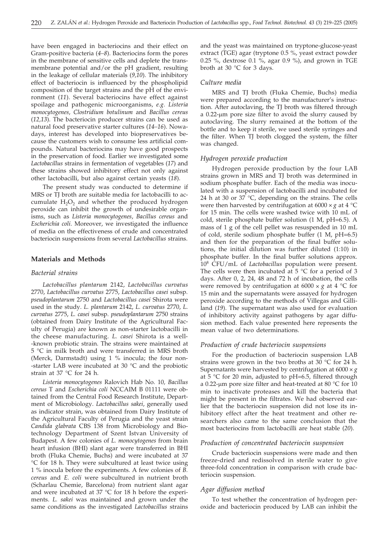have been engaged in bacteriocins and their effect on Gram-positive bacteria (*4–8*). Bacteriocins form the pores in the membrane of sensitive cells and deplete the transmembrane potential and/or the pH gradient, resulting in the leakage of cellular materials (*9,10*). The inhibitory effect of bacteriocin is influenced by the phospholipid composition of the target strains and the pH of the environment (*11*). Several bacteriocins have effect against spoilage and pathogenic microorganisms, *e.g. Listeria monocytogenes*, *Clostridium botulinum* and *Bacillus cereus* (*12,13*). The bacteriocin producer strains can be used as natural food preservative starter cultures (*14–16*). Nowadays, interest has developed into biopreservatives because the customers wish to consume less artificial compounds. Natural bacteriocins may have good prospects in the preservation of food. Earlier we investigated some *Lactobacillus* strains in fermentation of vegetables (*17*) and these strains showed inhibitory effect not only against other lactobacilli, but also against certain yeasts (*18*).

The present study was conducted to determine if MRS or TJ broth are suitable media for lactobacilli to accumulate  $H_2O_2$  and whether the produced hydrogen peroxide can inhibit the growth of undesirable organisms, such as *Listeria monocytogenes*, *Bacillus cereus* and *Escherichia coli*. Moreover, we investigated the influence of media on the effectiveness of crude and concentrated bacteriocin suspensions from several *Lactobacillus* strains.

#### **Materials and Methods**

#### *Bacterial strains*

*Lactobacillus plantarum* 2142, *Lactobacillus curvatus* 2770, *Lactobacillus curvatus* 2775, *Lactobacillus casei* subsp. *pseudoplantarum* 2750 and *Lactobacillus casei* Shirota were used in the study. *L. plantarum* 2142, *L. curvatus* 2770, *L. curvatus* 2775, *L. casei* subsp. *pseudoplantarum* 2750 strains (obtained from Dairy Institute of the Agricultural Faculty of Perugia) are known as non-starter lactobacilli in the cheese manufacturing. *L. casei* Shirota is a well- -known probiotic strain. The strains were maintained at 5 °C in milk broth and were transferred in MRS broth (Merck, Darmstadt) using 1 % inocula; the four non- -starter LAB were incubated at 30 °C and the probiotic strain at 37 °C for 24 h.

*Listeria monocytogenes* Ralovich Hab No. 10*, Bacillus cereus* T and *Escherichia coli* NCCAIM B 01111 were obtained from the Central Food Research Institute, Department of Microbiology. *Lactobacillus sakei*, generally used as indicator strain, was obtained from Dairy Institute of the Agricultural Faculty of Perugia and the yeast strain *Candida glabrata* CBS 138 from Microbiology and Biotechnology Department of Szent Istvan University of Budapest. A few colonies of *L. monocytogenes* from brain heart infusion (BHI) slant agar were transferred in BHI broth (Fluka Chemie, Buchs) and were incubated at 37 °C for 18 h. They were subcultured at least twice using 1 % inocula before the experiments. A few colonies of *B. cereus* and *E. coli* were subcultured in nutrient broth (Scharlau Chemie, Barcelona) from nutrient slant agar and were incubated at 37 °C for 18 h before the experiments. *L. sakei* was maintained and grown under the same conditions as the investigated *Lactobacillus* strains

and the yeast was maintained on tryptone-glucose-yeast extract (TGE) agar (tryptone 0.5 %, yeast extract powder 0.25 %, dextrose 0.1 %, agar 0.9 %), and grown in TGE broth at 30 °C for 3 days.

#### *Culture media*

MRS and TJ broth (Fluka Chemie, Buchs) media were prepared according to the manufacturer's instruction. After autoclaving, the TJ broth was filtered through a 0.22-µm pore size filter to avoid the slurry caused by autoclaving. The slurry remained at the bottom of the bottle and to keep it sterile, we used sterile syringes and the filter. When TJ broth clogged the system, the filter was changed.

## *Hydrogen peroxide production*

Hydrogen peroxide production by the four LAB strains grown in MRS and TJ broth was determined in sodium phosphate buffer. Each of the media was inoculated with a suspension of lactobacilli and incubated for 24 h at 30 or  $37^{\circ}$ C, depending on the strains. The cells were then harvested by centrifugation at  $6000 \times g$  at  $4 \text{ }^{\circ}\text{C}$ for 15 min. The cells were washed twice with 10 mL of cold, sterile phosphate buffer solution (1 M, pH=6.5). A mass of 1 g of the cell pellet was resuspended in 10 mL of cold, sterile sodium phosphate buffer (1 M, pH=6.5) and then for the preparation of the final buffer solutions, the initial dilution was further diluted (1:10) in phosphate buffer. In the final buffer solutions approx. 108 CFU/mL of *Lactobacillus* population were present. The cells were then incubated at  $5^{\circ}$ C for a period of 3 days. After 0, 2, 24, 48 and 72 h of incubation, the cells were removed by centrifugation at  $6000 \times g$  at  $4 \degree C$  for 15 min and the supernatants were assayed for hydrogen peroxide according to the methods of Villegas and Gilliland (*19*). The supernatant was also used for evaluation of inhibitory activity against pathogens by agar diffusion method. Each value presented here represents the mean value of two determinations.

#### *Production of crude bacteriocin suspensions*

For the production of bacteriocin suspension LAB strains were grown in the two broths at  $30^{\circ}$ C for 24 h. Supernatants were harvested by centrifugation at  $6000 \times g$ at  $5^{\circ}$ C for 20 min, adjusted to pH=6.5, filtered through a 0.22-um pore size filter and heat-treated at 80 °C for 10 min to inactivate proteases and kill the bacteria that might be present in the filtrates. We had observed earlier that the bacteriocin suspension did not lose its inhibitory effect after the heat treatment and other researchers also came to the same conclusion that the most bacteriocins from lactobacilli are heat stable (*20*).

## *Production of concentrated bacteriocin suspension*

Crude bacteriocin suspensions were made and then freeze-dried and redissolved in sterile water to give three-fold concentration in comparison with crude bacteriocin suspension.

#### *Agar diffusion method*

To test whether the concentration of hydrogen peroxide and bacteriocin produced by LAB can inhibit the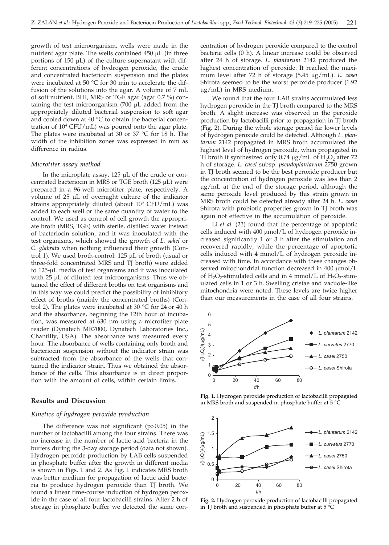growth of test microorganism, wells were made in the nutrient agar plate. The wells contained  $450 \mu L$  (in three portions of  $150 \mu L$ ) of the culture supernatant with different concentrations of hydrogen peroxide, the crude and concentrated bacteriocin suspension and the plates were incubated at 50 °C for 30 min to accelerate the diffusion of the solutions into the agar. A volume of 7 mL of soft nutrient, BHI, MRS or TGE agar (agar 0.7 %) containing the test microorganism  $(700 \mu L$  added from the appropriately diluted bacterial suspension to soft agar and cooled down at 40 °C to obtain the bacterial concentration of  $10^4$  CFU/mL) was poured onto the agar plate. The plates were incubated at 30 or 37 °C for 18 h. The width of the inhibition zones was expressed in mm as difference in radius.

#### *Microtiter assay method*

In the microplate assay,  $125 \mu L$  of the crude or concentrated bacteriocin in MRS or TGE broth (125  $\mu$ L) were prepared in a 96-well microtiter plate, respectively. A volume of  $25 \mu L$  of overnight culture of the indicator strains appropriately diluted (about  $10^5$  CFU/mL) was added to each well or the same quantity of water to the control. We used as control of cell growth the appropriate broth (MRS, TGE) with sterile, distilled water instead of bacteriocin solution, and it was inoculated with the test organisms, which showed the growth of *L. sakei* or *C. glabrata* when nothing influenced their growth (Control 1). We used broth-control:  $125 \mu L$  of broth (usual or three-fold concentrated MRS and TJ broth) were added to 125-µL media of test organisms and it was inoculated with  $25 \mu L$  of diluted test microorganisms. Thus we obtained the effect of different broths on test organisms and in this way we could predict the possibility of inhibitory effect of broths (mainly the concentrated broths) (Control 2). The plates were incubated at 30 °C for 24 or 40 h and the absorbance, beginning the 12th hour of incubation, was measured at 630 nm using a microtiter plate reader (Dynatech MR7000, Dynatech Laboratories Inc., Chantilly, USA). The absorbance was measured every hour. The absorbance of wells containing only broth and bacteriocin suspension without the indicator strain was subtracted from the absorbance of the wells that contained the indicator strain. Thus we obtained the absorbance of the cells. This absorbance is in direct proportion with the amount of cells, within certain limits.

## **Results and Discussion**

#### *Kinetics of hydrogen peroxide production*

The difference was not significant (p>0.05) in the number of lactobacilli among the four strains. There was no increase in the number of lactic acid bacteria in the buffers during the 3-day storage period (data not shown). Hydrogen peroxide production by LAB cells suspended in phosphate buffer after the growth in different media is shown in Figs. 1 and 2. As Fig. 1 indicates MRS broth was better medium for propagation of lactic acid bacteria to produce hydrogen peroxide than TJ broth. We found a linear time-course induction of hydrogen peroxide in the case of all four lactobacilli strains. After 2 h of storage in phosphate buffer we detected the same concentration of hydrogen peroxide compared to the control bacteria cells (0 h). A linear increase could be observed after 24 h of storage. *L. plantarum* 2142 produced the highest concentration of peroxide. It reached the maximum level after 72 h of storage (5.45 µg/mL). *L. casei* Shirota seemed to be the worst peroxide producer (1.92 g/mL) in MRS medium.

We found that the four LAB strains accumulated less hydrogen peroxide in the TJ broth compared to the MRS broth. A slight increase was observed in the peroxide production by lactobacilli prior to propagation in TJ broth (Fig. 2). During the whole storage period far lower levels of hydrogen peroxide could be detected. Although *L. plantarum* 2142 propagated in MRS broth accumulated the highest level of hydrogen peroxide, when propagated in TJ broth it synthesized only  $0.74 \mu g/mL$  of  $H<sub>2</sub>O<sub>2</sub>$  after 72 h of storage. *L. casei* subsp. *pseudoplantarum* 2750 grown in TJ broth seemed to be the best peroxide producer but the concentration of hydrogen peroxide was less than 2  $\mu$ g/mL at the end of the storage period, although the same peroxide level produced by this strain grown in MRS broth could be detected already after 24 h. *L. casei* Shirota with probiotic properties grown in TJ broth was again not effective in the accumulation of peroxide.

Li *et al.* (*21*) found that the percentage of apoptotic cells induced with  $400 \mu$ mol/L of hydrogen peroxide increased significantly 1 or 3 h after the stimulation and recovered rapidly, while the percentage of apoptotic cells induced with 4 mmol/L of hydrogen peroxide increased with time. In accordance with these changes observed mitochondrial function decreased in 400 µmol/L of  $H_2O_2$ -stimulated cells and in 4 mmol/L of  $H_2O_2$ -stimulated cells in 1 or 3 h. Swelling cristae and vacuole-like mitochondria were noted. These levels are twice higher than our measurements in the case of all four strains.



**Fig. 1.** Hydrogen peroxide production of lactobacilli propagated in MRS broth and suspended in phosphate buffer at 5 °C



**Fig. 2.** Hydrogen peroxide production of lactobacilli propagated in TJ broth and suspended in phosphate buffer at 5 °C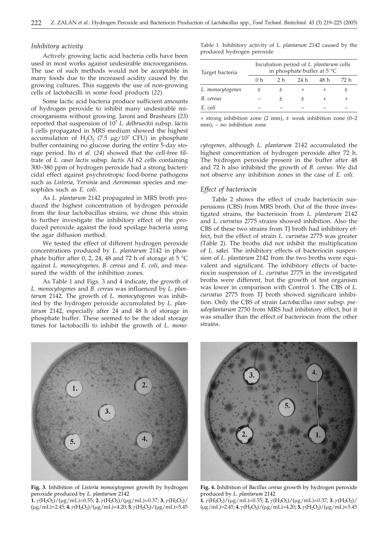## *Inhibitory activity*

Actively growing lactic acid bacteria cells have been used in most works against undesirable microorganisms. The use of such methods would not be acceptable in many foods due to the increased acidity caused by the growing cultures. This suggests the use of non-growing cells of lactobacilli in some food products (*22*).

Some lactic acid bacteria produce sufficient amounts of hydrogen peroxide to inhibit many undesirable microorganisms without growing. Jaroni and Brashears (*23*) reported that suspension of 107 *L. delbrueckii* subsp. *lactis* I cells propagated in MRS medium showed the highest accumulation of  $H_2O_2$  (7.5 µg/10<sup>7</sup> CFU) in phosphate buffer containing no glucose during the entire 5-day storage period. Ito *et al.* (*24*) showed that the cell-free filtrate of *L. casei lactis* subsp. *lactis* AI 62 cells containing 300–380 ppm of hydrogen peroxide had a strong bactericidal effect against psychrotropic food-borne pathogens such as *Listeria*, *Yersinia* and *Aeromonas* species and mesophiles such as *E. coli*.

As *L. plantarum* 2142 propagated in MRS broth produced the highest concentration of hydrogen peroxide from the four lactobacillus strains, we chose this strain to further investigate the inhibitory effect of the produced peroxide against the food spoilage bacteria using the agar diffusion method.

We tested the effect of different hydrogen peroxide concentrations produced by *L. plantarum* 2142 in phosphate buffer after 0, 2, 24, 48 and 72 h of storage at 5 °C against *L. monocytogenes*, *B. cereus* and *E. coli*, and measured the width of the inhibition zones.

As Table 1 and Figs. 3 and 4 indicate, the growth of *L. monocytogenes* and *B. cereu*s was influenced by *L. plantarum* 2142. The growth of *L. monocytogenes* was inhibited by the hydrogen peroxide accumulated by *L. plantarum* 2142, especially after 24 and 48 h of storage in phosphate buffer. These seemed to be the ideal storage times for lactobacilli to inhibit the growth of *L*. *mono-* Table 1. Inhibitory activity of *L. plantarum* 2142 caused by the produced hydrogen peroxide

| Target bacteria  | Incubation period of L. plantarum cells<br>in phosphate buffer at $5^{\circ}$ C |                |      |      |      |
|------------------|---------------------------------------------------------------------------------|----------------|------|------|------|
|                  | 0 <sub>h</sub>                                                                  | 2 <sub>h</sub> | 24 h | 48 h | 72 h |
| L. monocytogenes |                                                                                 |                |      |      |      |
| B. cereus        |                                                                                 | +              |      |      |      |
| E. coli          |                                                                                 |                |      |      |      |

 $+$  strong inhibition zone (2 mm),  $\pm$  weak inhibition zone (0–2 mm), – no inhibition zone

*cytogenes*, although *L. plantarum* 2142 accumulated the highest concentration of hydrogen peroxide after 72 h. The hydrogen peroxide present in the buffer after 48 and 72 h also inhibited the growth of *B. cereus*. We did not observe any inhibition zones in the case of *E. coli.*

## *Effect of bacteriocin*

Table 2 shows the effect of crude bacteriocin suspensions (CBS) from MRS broth. Out of the three investigated strains, the bacteriocin from *L. plantarum* 2142 and *L. curvatus* 2775 strains showed inhibition. Also the CBS of these two strains from TJ broth had inhibitory effect, but the effect of strain *L. curvatus* 2775 was greater (Table 2). The broths did not inhibit the multiplication of *L. sakei*. The inhibitory effects of bacteriocin suspension of *L. plantarum* 2142 from the two broths were equivalent and significant. The inhibitory effects of bacteriocin suspension of *L. curvatus* 2775 in the investigated broths were different, but the growth of test organism was lower in comparison with Control 1. The CBS of *L. curvatus* 2775 from TJ broth showed significant inhibition. Only the CBS of strain *Lactobacillus casei* subsp. *pseudoplantarum* 2750 from MRS had inhibitory effect, but it was smaller than the effect of bacteriocin from the other strains.



**Fig. 3.** Inhibition of *Listeria monocytogenes* growth by hydrogen peroxide produced by *L*. *plantarum* 2142

**1.**  $\gamma$ (H<sub>2</sub>O<sub>2</sub>)/( $\mu$ g/mL)=0.55; **2.**  $\gamma$ (H<sub>2</sub>O<sub>2</sub>)/( $\mu$ g/mL)=0.37; **3.**  $\gamma$ (H<sub>2</sub>O<sub>2</sub>)/  $(\mu$ g/mL $)=2.45$ ; **4.**  $\gamma$ (H<sub>2</sub>O<sub>2</sub>)/( $\mu$ g/mL $)=4.20$ ; **5.**  $\gamma$ (H<sub>2</sub>O<sub>2</sub>)/( $\mu$ g/mL $)=5.45$ 



**Fig. 4.** Inhibition of *Bacillus cereus* growth by hydrogen peroxide produced by *L. plantarum* 2142

**1.**  $\gamma$ (H<sub>2</sub>O<sub>2</sub>)/( $\mu$ g/mL)=0.55; **2.**  $\gamma$ (H<sub>2</sub>O<sub>2</sub>)/( $\mu$ g/mL)=0.37; **3.**  $\gamma$ (H<sub>2</sub>O<sub>2</sub>)/ (g/mL)=2.45; **4.***<sup>g</sup>* (H2O2)/(g/mL)=4.20; **5.***g* (H2O2)/(g/mL)=5.45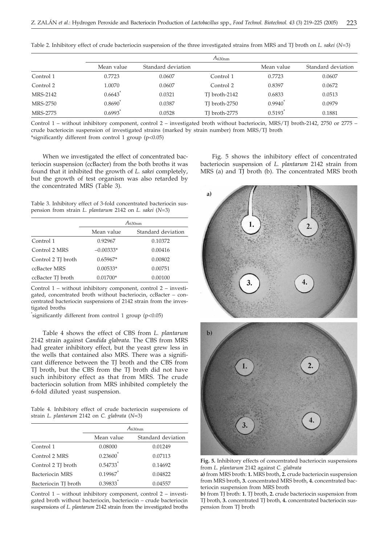|           | $A_{630nm}$           |                    |               |                    |                    |
|-----------|-----------------------|--------------------|---------------|--------------------|--------------------|
|           | Mean value            | Standard deviation |               | Mean value         | Standard deviation |
| Control 1 | 0.7723                | 0.0607             | Control 1     | 0.7723             | 0.0607             |
| Control 2 | 1.0070                | 0.0607             | Control 2     | 0.8397             | 0.0672             |
| MRS-2142  | $0.6643$ <sup>*</sup> | 0.0321             | TJ broth-2142 | 0.6833             | 0.0513             |
| MRS-2750  | $0.8690^{\degree}$    | 0.0387             | TJ broth-2750 | $0.9940^{\degree}$ | 0.0979             |
| MRS-2775  | 0.6993                | 0.0528             | TJ broth-2775 | 0.5193             | 0.1881             |

Table 2. Inhibitory effect of crude bacteriocin suspension of the three investigated strains from MRS and TJ broth on *L. sakei* (*N*=3)

Control 1 – without inhibitory component, control 2 – investigated broth without bacteriocin, MRS/TJ broth-2142, 2750 or 2775 – crude bacteriocin suspension of investigated strains (marked by strain number) from MRS/TJ broth \*significantly different from control 1 group (p<0.05)

When we investigated the effect of concentrated bacteriocin suspension (ccBacter) from the both broths it was found that it inhibited the growth of *L. sakei* completely, but the growth of test organism was also retarded by the concentrated MRS (Table 3).

Table 3. Inhibitory effect of 3-fold concentrated bacteriocin suspension from strain *L. plantarum* 2142 on *L. sakei* (*N*=3)

|                    | $A_{630nm}$ |                    |  |
|--------------------|-------------|--------------------|--|
|                    | Mean value  | Standard deviation |  |
| Control 1          | 0.92967     | 0.10372            |  |
| Control 2 MRS      | $-0.00333*$ | 0.00416            |  |
| Control 2 TJ broth | $0.65967*$  | 0.00802            |  |
| ccBacter MRS       | $0.00533*$  | 0.00751            |  |
| ccBacter TJ broth  | $0.01700*$  | 0.00100            |  |

Control 1 – without inhibitory component, control 2 – investigated, concentrated broth without bacteriocin, ccBacter – concentrated bacteriocin suspensions of 2142 strain from the investigated broths

\* significantly different from control 1 group (p<0.05)

Table 4 shows the effect of CBS from *L. plantarum* 2142 strain against *Candida glabrata.* The CBS from MRS had greater inhibitory effect, but the yeast grew less in the wells that contained also MRS. There was a significant difference between the TJ broth and the CBS from TJ broth, but the CBS from the TJ broth did not have such inhibitory effect as that from MRS. The crude bacteriocin solution from MRS inhibited completely the 6-fold diluted yeast suspension.

Table 4. Inhibitory effect of crude bacteriocin suspensions of strain *L. plantarum* 2142 on *C. glabrata* (*N*=3)

|                      | $A_{630 \mathrm{nm}}$  |                    |  |  |
|----------------------|------------------------|--------------------|--|--|
|                      | Mean value             | Standard deviation |  |  |
| Control 1            | 0.08000                | 0.01249            |  |  |
| Control 2 MRS        | $0.23600^*$            | 0.07113            |  |  |
| Control 2 TJ broth   | $0.54733$ <sup>*</sup> | 0.14692            |  |  |
| Bacteriocin MRS      | 0.19967                | 0.04822            |  |  |
| Bacteriocin TJ broth | $0.39833$ <sup>*</sup> | 0.04557            |  |  |

Control 1 – without inhibitory component, control 2 – investigated broth without bacteriocin, bacteriocin – crude bacteriocin suspensions of *L. plantarum* 2142 strain from the investigated broths

Fig. 5 shows the inhibitory effect of concentrated bacteriocin suspension of *L. plantarum* 2142 strain from MRS (a) and TJ broth (b). The concentrated MRS broth



**Fig. 5.** Inhibitory effects of concentrated bacteriocin suspensions from *L. plantarum* 2142 against *C. glabrata*

**a)** from MRS broth: **1.** MRS broth, **2.** crude bacteriocin suspension from MRS broth, **3.** concentrated MRS broth, **4.** concentrated bacteriocin suspension from MRS broth

**b)** from TJ broth: **1.** TJ broth, **2.** crude bacteriocin suspension from TJ broth, **3.** concentrated TJ broth, **4.** concentrated bacteriocin suspension from TJ broth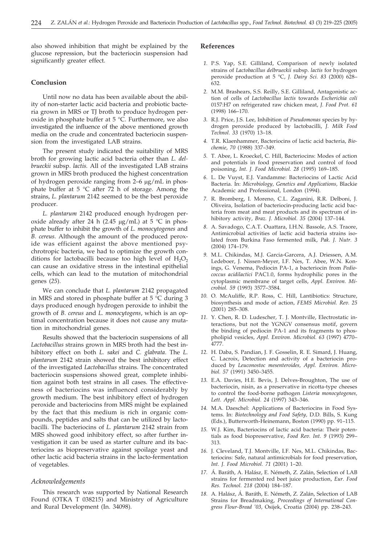also showed inhibition that might be explained by the glucose repression, but the bacteriocin suspension had significantly greater effect.

## **Conclusion**

Until now no data has been available about the ability of non-starter lactic acid bacteria and probiotic bacteria grown in MRS or TJ broth to produce hydrogen peroxide in phosphate buffer at 5 °C. Furthermore, we also investigated the influence of the above mentioned growth media on the crude and concentrated bacteriocin suspension from the investigated LAB strains.

The present study indicated the suitability of MRS broth for growing lactic acid bacteria other than *L. delbrueckii* subsp. *lactis.* All of the investigated LAB strains grown in MRS broth produced the highest concentration of hydrogen peroxide ranging from  $2-6 \mu g/mL$  in phosphate buffer at 5 °C after 72 h of storage. Among the strains, *L. plantarum* 2142 seemed to be the best peroxide producer.

*L. plantarum* 2142 produced enough hydrogen peroxide already after 24 h (2.45  $\mu$ g/mL) at 5 °C in phosphate buffer to inhibit the growth of *L. monocytogenes* and *B. cereus*. Although the amount of the produced peroxide was efficient against the above mentioned psychrotropic bacteria, we had to optimize the growth conditions for lactobacilli because too high level of  $H_2O_2$ can cause an oxidative stress in the intestinal epithelial cells, which can lead to the mutation of mitochondrial genes (*25*).

We can conclude that *L. plantarum* 2142 propagated in MRS and stored in phosphate buffer at 5 °C during 3 days produced enough hydrogen peroxide to inhibit the growth of *B. cereus* and *L. monocytogens*, which is an optimal concentration because it does not cause any mutation in mitochondrial genes.

Results showed that the bacteriocin suspensions of all *Lactobacillus* strains grown in MRS broth had the best inhibitory effect on both *L. sakei* and *C. glabrata*. The *L. plantarum* 2142 strain showed the best inhibitory effect of the investigated *Lactobacillus* strains. The concentrated bacteriocin suspensions showed great, complete inhibition against both test strains in all cases. The effectiveness of bacteriocins was influenced considerably by growth medium. The best inhibitory effect of hydrogen peroxide and bacteriocins from MRS might be explained by the fact that this medium is rich in organic compounds, peptides and salts that can be utilized by lactobacilli. The bacteriocins of *L. plantarum* 2142 strain from MRS showed good inhibitory effect, so after further investigation it can be used as starter culture and its bacteriocins as biopreservative against spoilage yeast and other lactic acid bacteria strains in the lacto-fermentation of vegetables.

#### *Acknowledgements*

This research was supported by National Research Found (OTKA T 038215) and Ministry of Agriculture and Rural Development (In. 34098).

## **References**

- *1.* P.S. Yap, S.E. Gilliland, Comparison of newly isolated strains of *Lactobacillus delbrueckii* subsp. *lactis* for hydrogen peroxide production at 5 °C, *J. Dairy Sci. 83* (2000) 628– 632.
- *2.* M.M. Brashears, S.S. Reilly, S.E. Gilliland, Antagonistic action of cells of *Lactobacillus lactis* towards *Escherichia coli* 0157:H7 on refrigerated raw chicken meat, *J. Food Prot. 61* (1998) 166–170.
- *3.* R.J. Price, J.S. Lee, Inhibition of *Pseudomonas* species by hydrogen peroxide produced by lactobacilli, *J. Milk Food Technol. 33* (1970) 13–18.
- *4.* T.R. Klaenhammer, Bacteriocins of lactic acid bacteria, *Biochemie*, *70* (1988) 337–349.
- *5.* T. Abee, L. Kroeckel, C. Hill, Bacteriocins: Modes of action and potentials in food preservation and control of food poisoning, *Int. J. Food Microbiol. 28* (1995) 169–185.
- *6.* L. De Vuyst, E.J. Vandamme: Bacteriocins of Lactic Acid Bacteria. In: *Microbiology, Genetics and Applications,* Blackie Academic and Professional, London (1994).
- *7.* R. Bromberg, I. Moreno, C.L. Zaganini, R.R. Delboni, J. Oliveira, Isolation of bacteriocin-producing lactic acid bacteria from meat and meat products and its spectrum of inhibitory activity, *Braz. J. Microbiol. 35* (2004) 137–144.
- *8.* A. Savadogo, C.A.T. Ouattara, I.H.N. Bassole, A.S. Traore, Antimicrobial activities of lactic acid bacteria strains isolated from Burkina Faso fermented milk, *Pak. J. Nutr. 3* (2004) 174–179.
- *9.* M.L. Chikindas, M.J. Garcia-Garcera, A.J. Driessen, A.M. Ledeboer, J. Nissen-Meyer, I.F. Nes, T. Abee, W.N. Konings, G. Venema, Pediocin PA-1, a bacteriocin from *Pediococcus acidilactici* PAC1.0, forms hydrophilic pores in the cytoplasmic membrane of target cells, *Appl. Environ. Microbiol. 59* (1993) 3577–3584.
- *10.* O. McAuliffe, R.P. Ross, C. Hill, Lantibiotics: Structure, biosynthesis and mode of action*, FEMS Microbiol. Rev. 25* (2001) 285–308.
- *11.* Y. Chen, R. D. Ludescher, T. J. Montville, Electrostatic interactions, but not the YGNGV consensus motif, govern the binding of pediocin PA-1 and its fragments to phospholipid vesicles, *Appl. Environ. Microbiol. 63* (1997) 4770– 4777.
- *12.* H. Daba, S. Pandian, J. F. Gosselin, R. E. Simard, J. Huang, C. Lacroix, Detection and activity of a bacteriocin produced by *Leuconostoc mesenteroides, Appl. Environ. Microbiol. 57* (1991) 3450–3455.
- *13.* E.A. Davies, H.E. Bevis, J. Delves-Broughton, The use of bacteriocin, nisin, as a preservative in ricotta-type cheeses to control the food-borne pathogen *Listeria monocytogenes, Lett. Appl. Microbiol. 24* (1997) 343–346.
- *14.* M.A. Daeschel: Applications of Bacteriocins in Food Systems. In: *Biotechnology and Food Safety,* D.D. Bills, S. Kung (Eds.), Butterworth-Heinemann, Boston (1990) pp. 91–115.
- *15.* W.J. Kim, Bacteriocins of lactic acid bacteria: Their potentials as food biopreservative, *Food Rev. Int. 9* (1993) 299– 313.
- *16.* J. Cleveland, T.J. Montville, I.F. Nes, M.L. Chikindas, Bacteriocins: Safe, natural antimicrobials for food preservation, *Int. J. Food Microbiol. 71* (2001) 1–20.
- *17.* Á. Baráth, A. Halász, E. Németh, Z. Zalán, Selection of LAB strains for fermented red beet juice production, *Eur. Food Res. Technol. 218* (2004) 184–187.
- *18.* A. Halász, Á. Baráth, E. Németh, Z. Zalán, Selection of LAB Strains for Breadmaking, *Proceedings of International Congress Flour-Bread '03,* Osijek, Croatia (2004) pp. 238–243.